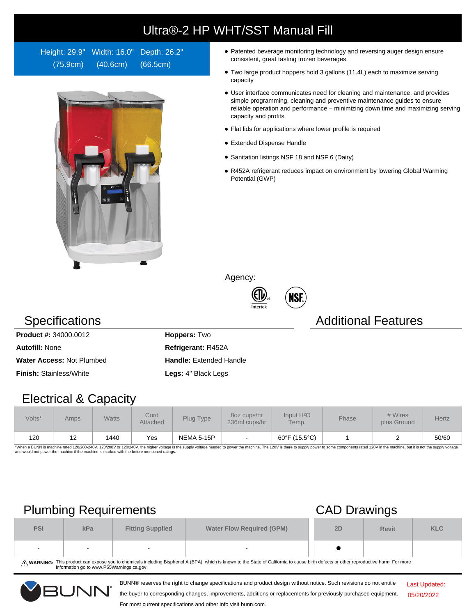# Ultra®-2 HP WHT/SST Manual Fill

Height: 29.9" Width: 16.0" Depth: 26.2" (75.9cm) (40.6cm) (66.5cm)



- Patented beverage monitoring technology and reversing auger design ensure consistent, great tasting frozen beverages
- Two large product hoppers hold 3 gallons (11.4L) each to maximize serving capacity
- User interface communicates need for cleaning and maintenance, and provides simple programming, cleaning and preventive maintenance guides to ensure reliable operation and performance – minimizing down time and maximizing serving capacity and profits
- Flat lids for applications where lower profile is required
- Extended Dispense Handle
- Sanitation listings NSF 18 and NSF 6 (Dairy)
- R452A refrigerant reduces impact on environment by lowering Global Warming Potential (GWP)

Agency:





### **Specifications Additional Features**

**Product #:** 34000.0012 **Hoppers:** Two **Autofill:** None **Refrigerant:** R452A **Water Access: Not Plumbed <b>Handle:** Extended Handle **Finish:** Stainless/White **Legs:** 4" Black Legs

Electrical & Capacity

| Volts* | Amps | <b>Watts</b> | Cord<br>Attached | Plug Type         | 8oz cups/hr<br>236ml cups/hr | Input H <sup>2</sup> O<br>Temp. | <b>Phase</b> | # Wires<br>plus Ground | Hertz |
|--------|------|--------------|------------------|-------------------|------------------------------|---------------------------------|--------------|------------------------|-------|
| 120    | 12   | 1440         | Yes              | <b>NEMA 5-15P</b> |                              | 60°F (15.5°C)                   |              |                        | 50/60 |

\*When a BUNN is machine rated 120/208-240V, 120/208V or 120/240V, the higher voltage is the supply voltage needed to power the machine. The 120V is there to supply power to some components rated 120V in the machine, but it

## Plumbing Requirements CAD Drawings

| $\overline{\phantom{a}}$ |        |                                                             |        |    | . .          |            |  |  |
|--------------------------|--------|-------------------------------------------------------------|--------|----|--------------|------------|--|--|
| <b>PSI</b>               | kPa    | <b>Water Flow Required (GPM)</b><br><b>Fitting Supplied</b> |        | 2D | <b>Revit</b> | <b>KLC</b> |  |  |
| $\sim$                   | $\sim$ | $\sim$                                                      | $\sim$ |    |              |            |  |  |

WARNING: This product can expose you to chemicals including Bisphenol A (BPA), which is known to the State of California to cause birth defects or other reproductive harm. For more<br>information go to www.P65Warnings.ca.gov

BUNN® reserves the right to change specifications and product design without notice. Such revisions do not entitle



the buyer to corresponding changes, improvements, additions or replacements for previously purchased equipment. For most current specifications and other info visit bunn.com.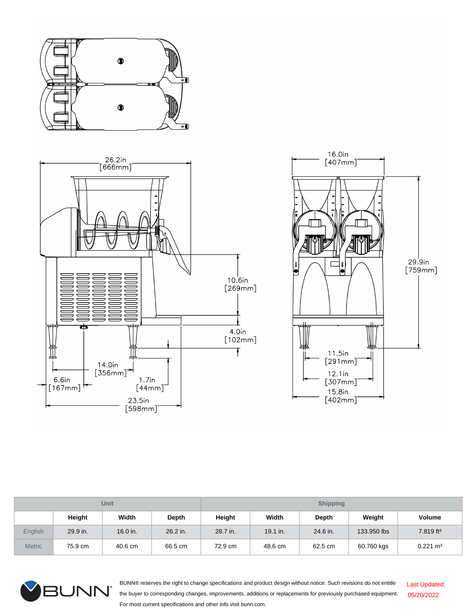





| <b>Unit</b>    |          |          |          | <b>Shipping</b> |          |          |             |                       |  |
|----------------|----------|----------|----------|-----------------|----------|----------|-------------|-----------------------|--|
|                | Height   | Width    | Depth    | Height          | Width    | Depth    | Weight      | <b>Volume</b>         |  |
| <b>English</b> | 29.9 in. | 16.0 in. | 26.2 in. | 28.7 in.        | 19.1 in. | 24.6 in. | 133,950 lbs | 7.819 ft <sup>3</sup> |  |
| <b>Metric</b>  | 75.9 cm  | 40.6 cm  | 66.5 cm  | 72.9 cm         | 48.6 cm  | 62.5 cm  | 60.760 kgs  | $0.221 \text{ m}^3$   |  |



BUNN® reserves the right to change specifications and product design without notice. Such revisions do not entitle the buyer to corresponding changes, improvements, additions or replacements for previously purchased equipment. For most current specifications and other info visit bunn.com. Last Updated: 05/20/2022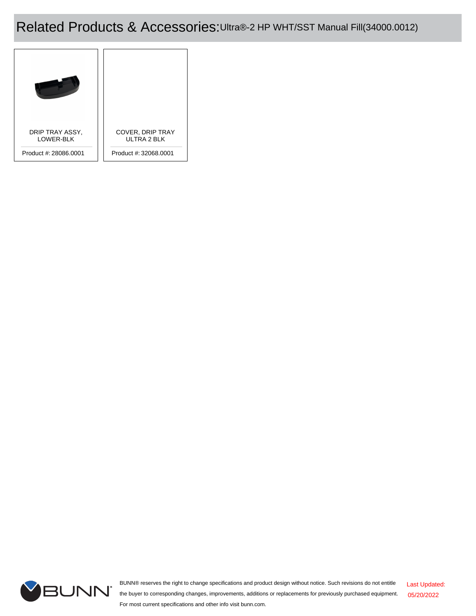### Related Products & Accessories:Ultra®-2 HP WHT/SST Manual Fill(34000.0012)